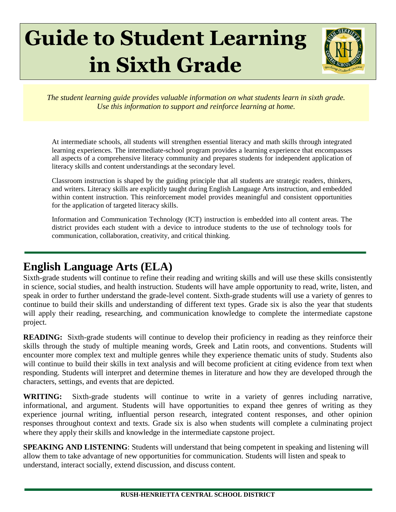# **Guide to Student Learning in Sixth Grade**



*The student learning guide provides valuable information on what students learn in sixth grade. Use this information to support and reinforce learning at home.*

At intermediate schools, all students will strengthen essential literacy and math skills through integrated learning experiences. The intermediate-school program provides a learning experience that encompasses all aspects of a comprehensive literacy community and prepares students for independent application of literacy skills and content understandings at the secondary level.

Classroom instruction is shaped by the guiding principle that all students are strategic readers, thinkers, and writers. Literacy skills are explicitly taught during English Language Arts instruction, and embedded within content instruction. This reinforcement model provides meaningful and consistent opportunities for the application of targeted literacy skills.

Information and Communication Technology (ICT) instruction is embedded into all content areas. The district provides each student with a device to introduce students to the use of technology tools for communication, collaboration, creativity, and critical thinking.

## **English Language Arts (ELA)**

Sixth-grade students will continue to refine their reading and writing skills and will use these skills consistently in science, social studies, and health instruction. Students will have ample opportunity to read, write, listen, and speak in order to further understand the grade-level content. Sixth-grade students will use a variety of genres to continue to build their skills and understanding of different text types. Grade six is also the year that students will apply their reading, researching, and communication knowledge to complete the intermediate capstone project.

**READING:** Sixth-grade students will continue to develop their proficiency in reading as they reinforce their skills through the study of multiple meaning words, Greek and Latin roots, and conventions. Students will encounter more complex text and multiple genres while they experience thematic units of study. Students also will continue to build their skills in text analysis and will become proficient at citing evidence from text when responding. Students will interpret and determine themes in literature and how they are developed through the characters, settings, and events that are depicted.

**WRITING:** Sixth-grade students will continue to write in a variety of genres including narrative, informational, and argument. Students will have opportunities to expand thee genres of writing as they experience journal writing, influential person research, integrated content responses, and other opinion responses throughout context and texts. Grade six is also when students will complete a culminating project where they apply their skills and knowledge in the intermediate capstone project.

**SPEAKING AND LISTENING**: Students will understand that being competent in speaking and listening will allow them to take advantage of new opportunities for communication. Students will listen and speak to understand, interact socially, extend discussion, and discuss content.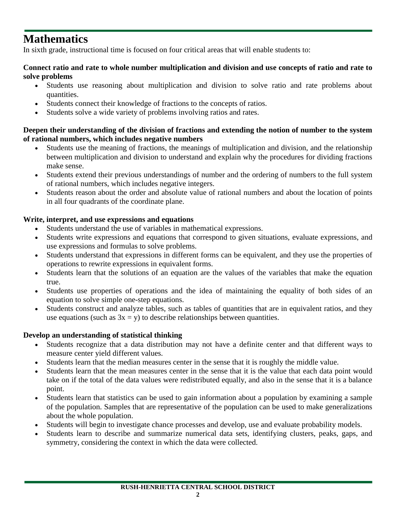## **Mathematics**

In sixth grade, instructional time is focused on four critical areas that will enable students to:

#### **Connect ratio and rate to whole number multiplication and division and use concepts of ratio and rate to solve problems**

- Students use reasoning about multiplication and division to solve ratio and rate problems about quantities.
- Students connect their knowledge of fractions to the concepts of ratios.
- Students solve a wide variety of problems involving ratios and rates.

#### **Deepen their understanding of the division of fractions and extending the notion of number to the system of rational numbers, which includes negative numbers**

- Students use the meaning of fractions, the meanings of multiplication and division, and the relationship between multiplication and division to understand and explain why the procedures for dividing fractions make sense.
- Students extend their previous understandings of number and the ordering of numbers to the full system of rational numbers, which includes negative integers.
- Students reason about the order and absolute value of rational numbers and about the location of points in all four quadrants of the coordinate plane.

#### **Write, interpret, and use expressions and equations**

- Students understand the use of variables in mathematical expressions.
- Students write expressions and equations that correspond to given situations, evaluate expressions, and use expressions and formulas to solve problems.
- Students understand that expressions in different forms can be equivalent, and they use the properties of operations to rewrite expressions in equivalent forms.
- Students learn that the solutions of an equation are the values of the variables that make the equation true.
- Students use properties of operations and the idea of maintaining the equality of both sides of an equation to solve simple one-step equations.
- Students construct and analyze tables, such as tables of quantities that are in equivalent ratios, and they use equations (such as  $3x = y$ ) to describe relationships between quantities.

#### **Develop an understanding of statistical thinking**

- Students recognize that a data distribution may not have a definite center and that different ways to measure center yield different values.
- Students learn that the median measures center in the sense that it is roughly the middle value.
- Students learn that the mean measures center in the sense that it is the value that each data point would take on if the total of the data values were redistributed equally, and also in the sense that it is a balance point.
- Students learn that statistics can be used to gain information about a population by examining a sample of the population. Samples that are representative of the population can be used to make generalizations about the whole population.
- Students will begin to investigate chance processes and develop, use and evaluate probability models.
- Students learn to describe and summarize numerical data sets, identifying clusters, peaks, gaps, and symmetry, considering the context in which the data were collected.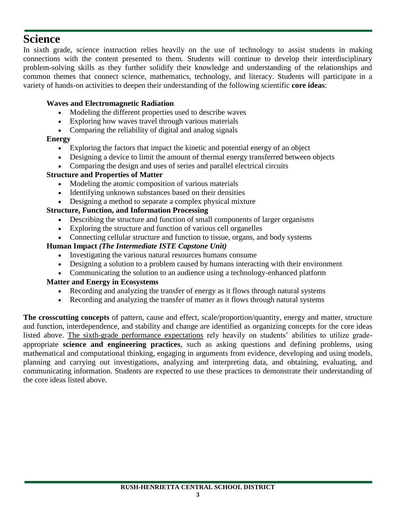## **Science**

In sixth grade, science instruction relies heavily on the use of technology to assist students in making connections with the content presented to them. Students will continue to develop their interdisciplinary problem-solving skills as they further solidify their knowledge and understanding of the relationships and common themes that connect science, mathematics, technology, and literacy. Students will participate in a variety of hands-on activities to deepen their understanding of the following scientific **core ideas**:

#### **Waves and Electromagnetic Radiation**

- Modeling the different properties used to describe waves
- Exploring how waves travel through various materials
- Comparing the reliability of digital and analog signals

#### **Energy**

- Exploring the factors that impact the kinetic and potential energy of an object
- Designing a device to limit the amount of thermal energy transferred between objects
- Comparing the design and uses of series and parallel electrical circuits

#### **Structure and Properties of Matter**

- Modeling the atomic composition of various materials
- Identifying unknown substances based on their densities
- Designing a method to separate a complex physical mixture

#### **Structure, Function, and Information Processing**

- Describing the structure and function of small components of larger organisms
- Exploring the structure and function of various cell organelles
- Connecting cellular structure and function to tissue, organs, and body systems

#### **Human Impact** *(The Intermediate ISTE Capstone Unit)*

- Investigating the various natural resources humans consume
- Designing a solution to a problem caused by humans interacting with their environment
- Communicating the solution to an audience using a technology-enhanced platform

#### **Matter and Energy in Ecosystems**

- Recording and analyzing the transfer of energy as it flows through natural systems
- Recording and analyzing the transfer of matter as it flows through natural systems

**The crosscutting concepts** of pattern, cause and effect, scale/proportion/quantity, energy and matter, structure and function, interdependence, and stability and change are identified as organizing concepts for the core ideas listed above. The sixth-grade performance expectations rely heavily on students' abilities to utilize gradeappropriate **science and engineering practices**, such as asking questions and defining problems, using mathematical and computational thinking, engaging in arguments from evidence, developing and using models, planning and carrying out investigations, analyzing and interpreting data, and obtaining, evaluating, and communicating information. Students are expected to use these practices to demonstrate their understanding of the core ideas listed above.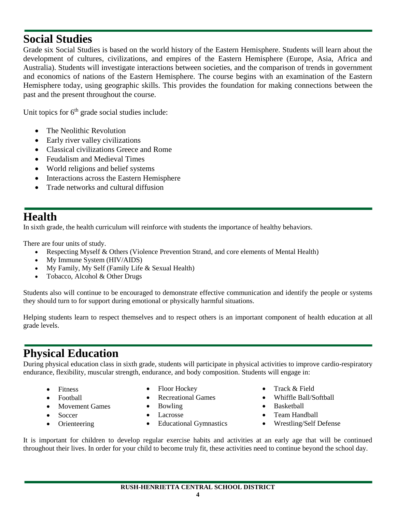## **Social Studies**

Grade six Social Studies is based on the world history of the Eastern Hemisphere. Students will learn about the development of cultures, civilizations, and empires of the Eastern Hemisphere (Europe, Asia, Africa and Australia). Students will investigate interactions between societies, and the comparison of trends in government and economics of nations of the Eastern Hemisphere. The course begins with an examination of the Eastern Hemisphere today, using geographic skills. This provides the foundation for making connections between the past and the present throughout the course.

Unit topics for  $6<sup>th</sup>$  grade social studies include:

- The Neolithic Revolution
- Early river valley civilizations
- Classical civilizations Greece and Rome
- Feudalism and Medieval Times
- World religions and belief systems
- Interactions across the Eastern Hemisphere
- Trade networks and cultural diffusion

## **Health**

In sixth grade, the health curriculum will reinforce with students the importance of healthy behaviors.

There are four units of study.

- Respecting Myself & Others (Violence Prevention Strand, and core elements of Mental Health)
- My Immune System (HIV/AIDS)
- My Family, My Self (Family Life & Sexual Health)
- Tobacco, Alcohol & Other Drugs

Students also will continue to be encouraged to demonstrate effective communication and identify the people or systems they should turn to for support during emotional or physically harmful situations.

Helping students learn to respect themselves and to respect others is an important component of health education at all grade levels.

# **Physical Education**

During physical education class in sixth grade, students will participate in physical activities to improve cardio-respiratory endurance, flexibility, muscular strength, endurance, and body composition. Students will engage in:

- **Fitness**
- Football
- Movement Games
- Soccer
- Orienteering
- Floor Hockey
- Recreational Games
- Bowling
- **Lacrosse**
- **Educational Gymnastics**
- Track & Field
- Whiffle Ball/Softball
- Basketball
- Team Handball
- Wrestling/Self Defense

It is important for children to develop regular exercise habits and activities at an early age that will be continued throughout their lives. In order for your child to become truly fit, these activities need to continue beyond the school day.